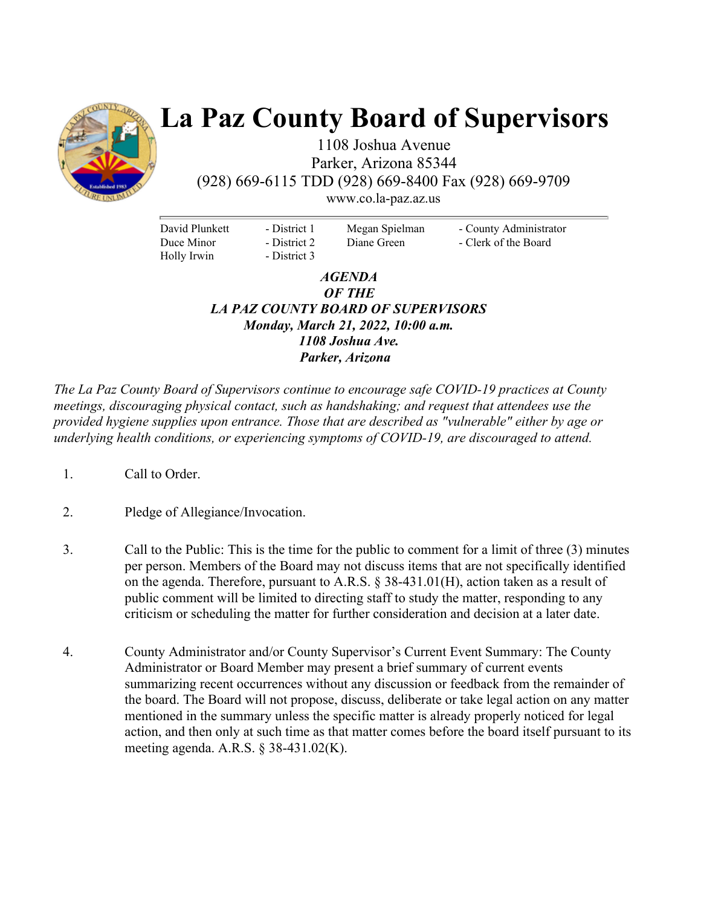

# **La Paz County Board of Supervisors**

1108 Joshua Avenue Parker, Arizona 85344 (928) 669-6115 TDD (928) 669-8400 Fax (928) 669-9709 www.co.la-paz.az.us

David Plunkett Duce Minor Holly Irwin

- District 1 - District 2 - District 3 Megan Spielman Diane Green

- County Administrator - Clerk of the Board

## *AGENDA OF THE LA PAZ COUNTY BOARD OF SUPERVISORS Monday, March 21, 2022, 10:00 a.m. 1108 Joshua Ave. Parker, Arizona*

*The La Paz County Board of Supervisors continue to encourage safe COVID-19 practices at County meetings, discouraging physical contact, such as handshaking; and request that attendees use the provided hygiene supplies upon entrance. Those that are described as "vulnerable" either by age or underlying health conditions, or experiencing symptoms of COVID-19, are discouraged to attend.* 

- 1. Call to Order.
- 2. Pledge of Allegiance/Invocation.
- 3. Call to the Public: This is the time for the public to comment for a limit of three (3) minutes per person. Members of the Board may not discuss items that are not specifically identified on the agenda. Therefore, pursuant to A.R.S. § 38-431.01(H), action taken as a result of public comment will be limited to directing staff to study the matter, responding to any criticism or scheduling the matter for further consideration and decision at a later date.
- 4. County Administrator and/or County Supervisor's Current Event Summary: The County Administrator or Board Member may present a brief summary of current events summarizing recent occurrences without any discussion or feedback from the remainder of the board. The Board will not propose, discuss, deliberate or take legal action on any matter mentioned in the summary unless the specific matter is already properly noticed for legal action, and then only at such time as that matter comes before the board itself pursuant to its meeting agenda. A.R.S. § 38-431.02(K).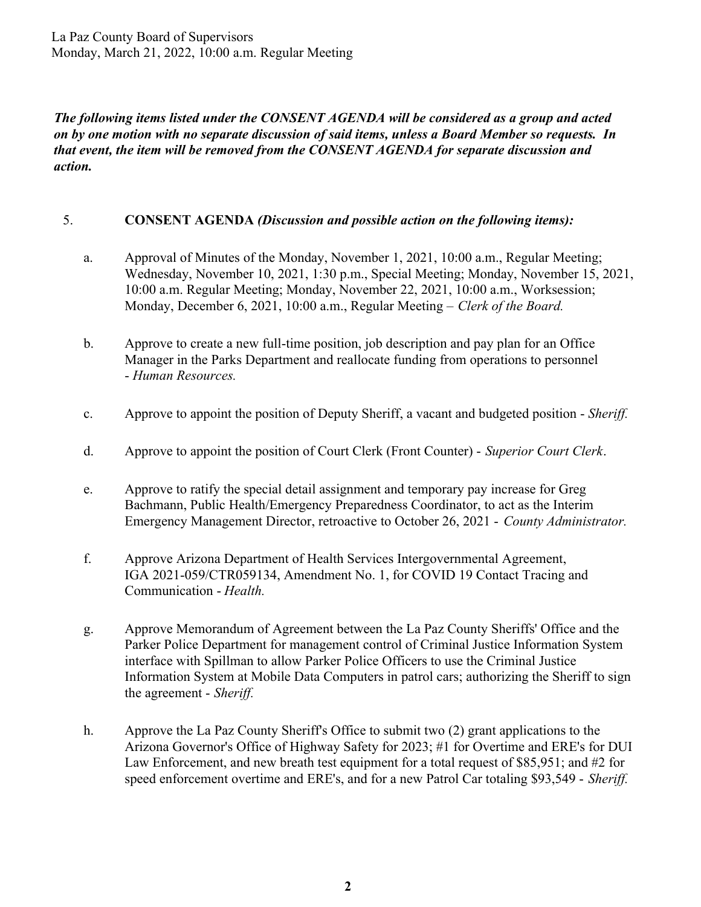La Paz County Board of Supervisors Monday, March 21, 2022, 10:00 a.m. Regular Meeting

*The following items listed under the CONSENT AGENDA will be considered as a group and acted on by one motion with no separate discussion of said items, unless a Board Member so requests. In that event, the item will be removed from the CONSENT AGENDA for separate discussion and action.* 

#### 5. **CONSENT AGENDA** *(Discussion and possible action on the following items):*

- a. Approval of Minutes of the Monday, November 1, 2021, 10:00 a.m., Regular Meeting; Wednesday, November 10, 2021, 1:30 p.m., Special Meeting; Monday, November 15, 2021, 10:00 a.m. Regular Meeting; Monday, November 22, 2021, 10:00 a.m., Worksession; Monday, December 6, 2021, 10:00 a.m., Regular Meeting – *Clerk of the Board.*
- b. Approve to create a new full-time position, job description and pay plan for an Office Manager in the Parks Department and reallocate funding from operations to personnel - *Human Resources.*
- c. Approve to appoint the position of Deputy Sheriff, a vacant and budgeted position *Sheriff.*
- d. Approve to appoint the position of Court Clerk (Front Counter) *Superior Court Clerk*.
- e. Approve to ratify the special detail assignment and temporary pay increase for Greg Bachmann, Public Health/Emergency Preparedness Coordinator, to act as the Interim Emergency Management Director, retroactive to October 26, 2021 - *County Administrator.*
- f. Approve Arizona Department of Health Services Intergovernmental Agreement, IGA 2021-059/CTR059134, Amendment No. 1, for COVID 19 Contact Tracing and Communication - *Health.*
- g. Approve Memorandum of Agreement between the La Paz County Sheriffs' Office and the Parker Police Department for management control of Criminal Justice Information System interface with Spillman to allow Parker Police Officers to use the Criminal Justice Information System at Mobile Data Computers in patrol cars; authorizing the Sheriff to sign the agreement - *Sheriff.*
- h. Approve the La Paz County Sheriff's Office to submit two (2) grant applications to the Arizona Governor's Office of Highway Safety for 2023; #1 for Overtime and ERE's for DUI Law Enforcement, and new breath test equipment for a total request of \$85,951; and #2 for speed enforcement overtime and ERE's, and for a new Patrol Car totaling \$93,549 - *Sheriff.*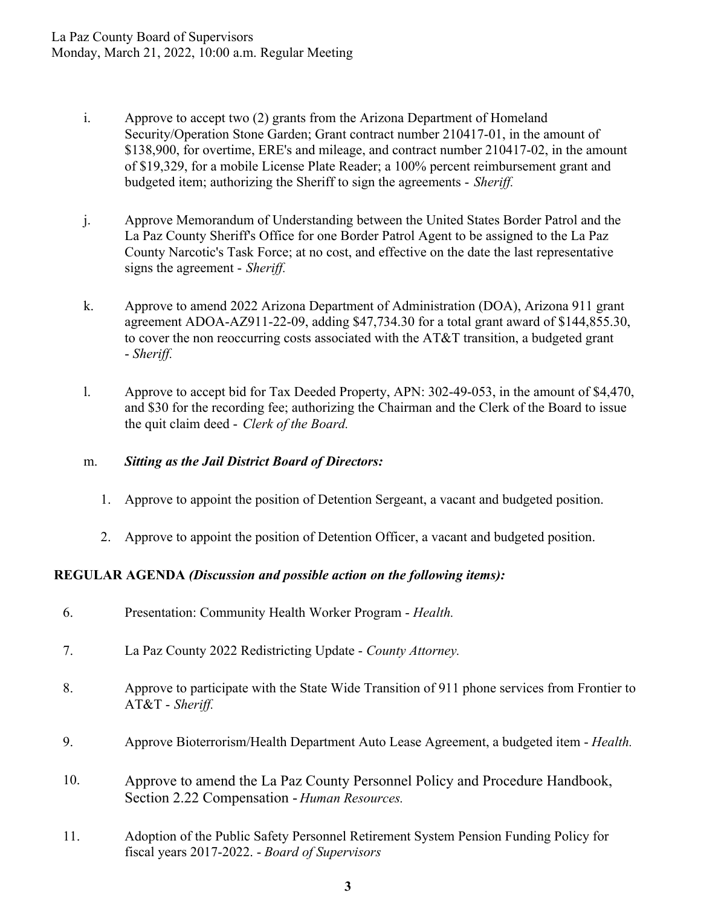- i. Approve to accept two (2) grants from the Arizona Department of Homeland Security/Operation Stone Garden; Grant contract number 210417-01, in the amount of \$138,900, for overtime, ERE's and mileage, and contract number 210417-02, in the amount of \$19,329, for a mobile License Plate Reader; a 100% percent reimbursement grant and budgeted item; authorizing the Sheriff to sign the agreements - *Sheriff.*
- j. Approve Memorandum of Understanding between the United States Border Patrol and the La Paz County Sheriff's Office for one Border Patrol Agent to be assigned to the La Paz County Narcotic's Task Force; at no cost, and effective on the date the last representative signs the agreement - *Sheriff.*
- k. Approve to amend 2022 Arizona Department of Administration (DOA), Arizona 911 grant agreement ADOA-AZ911-22-09, adding \$47,734.30 for a total grant award of \$144,855.30, to cover the non reoccurring costs associated with the AT&T transition, a budgeted grant - *Sheriff.*
- l. Approve to accept bid for Tax Deeded Property, APN: 302-49-053, in the amount of \$4,470, and \$30 for the recording fee; authorizing the Chairman and the Clerk of the Board to issue the quit claim deed - *Clerk of the Board.*

## m. *Sitting as the Jail District Board of Directors:*

- 1. Approve to appoint the position of Detention Sergeant, a vacant and budgeted position.
- 2. Approve to appoint the position of Detention Officer, a vacant and budgeted position.

## **REGULAR AGENDA** *(Discussion and possible action on the following items):*

| 6.  | Presentation: Community Health Worker Program - Health.                                                                                |
|-----|----------------------------------------------------------------------------------------------------------------------------------------|
| 7.  | La Paz County 2022 Redistricting Update - County Attorney.                                                                             |
| 8.  | Approve to participate with the State Wide Transition of 911 phone services from Frontier to<br>$AT&T$ - Sheriff.                      |
| 9.  | Approve Bioterrorism/Health Department Auto Lease Agreement, a budgeted item - Health.                                                 |
| 10. | Approve to amend the La Paz County Personnel Policy and Procedure Handbook,<br>Section 2.22 Compensation - Human Resources.            |
| 11. | Adoption of the Public Safety Personnel Retirement System Pension Funding Policy for<br>fiscal years 2017-2022. - Board of Supervisors |